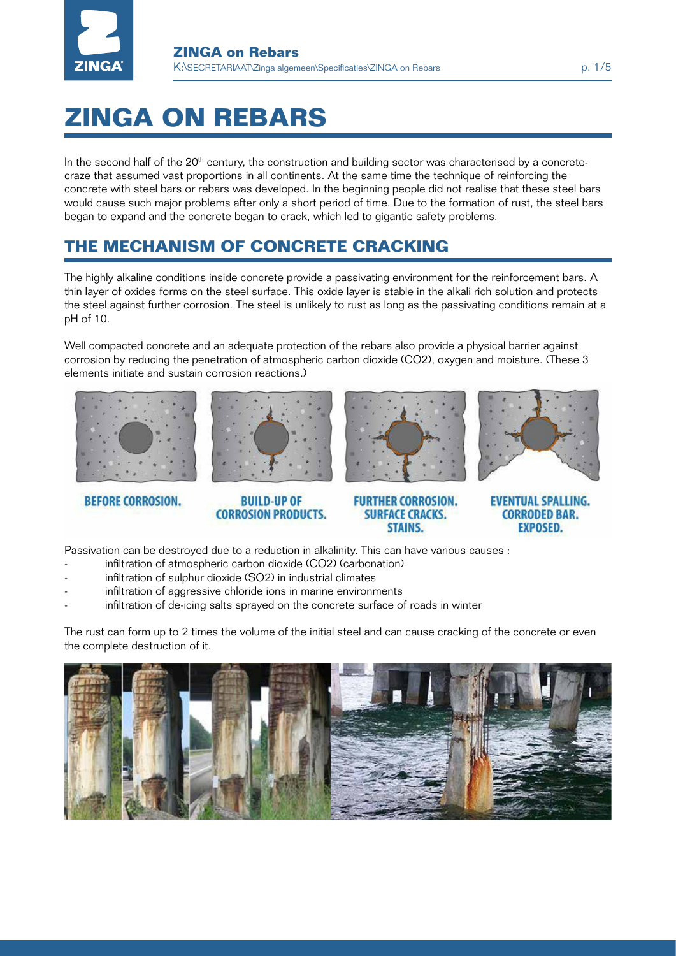

# **ZINGA ON REBARS**

In the second half of the  $20<sup>th</sup>$  century, the construction and building sector was characterised by a concretecraze that assumed vast proportions in all continents. At the same time the technique of reinforcing the concrete with steel bars or rebars was developed. In the beginning people did not realise that these steel bars would cause such major problems after only a short period of time. Due to the formation of rust, the steel bars began to expand and the concrete began to crack, which led to gigantic safety problems.

### **The mechanism of concrete cracking**

The highly alkaline conditions inside concrete provide a passivating environment for the reinforcement bars. A thin layer of oxides forms on the steel surface. This oxide layer is stable in the alkali rich solution and protects the steel against further corrosion. The steel is unlikely to rust as long as the passivating conditions remain at a pH of 10.

Well compacted concrete and an adequate protection of the rebars also provide a physical barrier against corrosion by reducing the penetration of atmospheric carbon dioxide (CO2), oxygen and moisture. (These 3 elements initiate and sustain corrosion reactions.)









**BEFORE CORROSION.** 

**BUILD-UP OF CORROSION PRODUCTS.** 

**FURTHER CORROSION. SURFACE CRACKS. STAINS.** 

**EVENTUAL SPALLING. CORRODED BAR. EXPOSED.** 

Passivation can be destroyed due to a reduction in alkalinity. This can have various causes :

- infiltration of atmospheric carbon dioxide (CO2) (carbonation)
- infiltration of sulphur dioxide (SO2) in industrial climates
- infiltration of aggressive chloride ions in marine environments
- infiltration of de-icing salts sprayed on the concrete surface of roads in winter

The rust can form up to 2 times the volume of the initial steel and can cause cracking of the concrete or even the complete destruction of it.

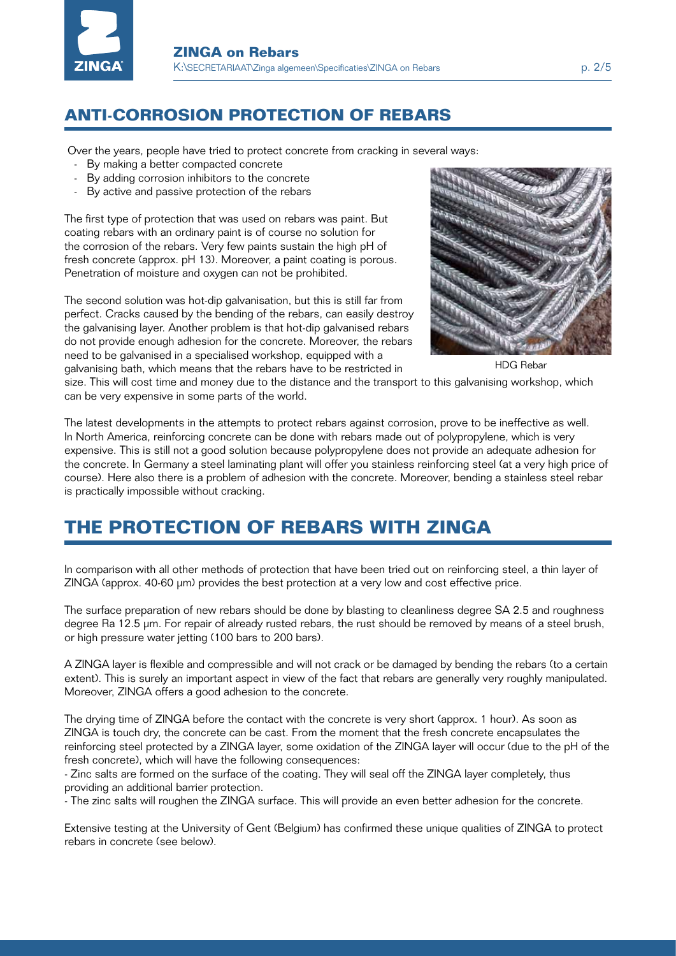

### **anti-corrosion protection of rebars**

Over the years, people have tried to protect concrete from cracking in several ways:

- By making a better compacted concrete
- By adding corrosion inhibitors to the concrete
- By active and passive protection of the rebars

The first type of protection that was used on rebars was paint. But coating rebars with an ordinary paint is of course no solution for the corrosion of the rebars. Very few paints sustain the high pH of fresh concrete (approx. pH 13). Moreover, a paint coating is porous. Penetration of moisture and oxygen can not be prohibited.

The second solution was hot-dip galvanisation, but this is still far from perfect. Cracks caused by the bending of the rebars, can easily destroy the galvanising layer. Another problem is that hot-dip galvanised rebars do not provide enough adhesion for the concrete. Moreover, the rebars need to be galvanised in a specialised workshop, equipped with a galvanising bath, which means that the rebars have to be restricted in



HDG Rebar

size. This will cost time and money due to the distance and the transport to this galvanising workshop, which can be very expensive in some parts of the world.

The latest developments in the attempts to protect rebars against corrosion, prove to be ineffective as well. In North America, reinforcing concrete can be done with rebars made out of polypropylene, which is very expensive. This is still not a good solution because polypropylene does not provide an adequate adhesion for the concrete. In Germany a steel laminating plant will offer you stainless reinforcing steel (at a very high price of course). Here also there is a problem of adhesion with the concrete. Moreover, bending a stainless steel rebar is practically impossible without cracking.

## **the p rotection of rebars with zinga**

In comparison with all other methods of protection that have been tried out on reinforcing steel, a thin layer of ZINGA (approx. 40-60 µm) provides the best protection at a very low and cost effective price.

The surface preparation of new rebars should be done by blasting to cleanliness degree SA 2.5 and roughness degree Ra 12.5 µm. For repair of already rusted rebars, the rust should be removed by means of a steel brush, or high pressure water jetting (100 bars to 200 bars).

A ZINGA layer is flexible and compressible and will not crack or be damaged by bending the rebars (to a certain extent). This is surely an important aspect in view of the fact that rebars are generally very roughly manipulated. Moreover, ZINGA offers a good adhesion to the concrete.

The drying time of ZINGA before the contact with the concrete is very short (approx. 1 hour). As soon as ZINGA is touch dry, the concrete can be cast. From the moment that the fresh concrete encapsulates the reinforcing steel protected by a ZINGA layer, some oxidation of the ZINGA layer will occur (due to the pH of the fresh concrete), which will have the following consequences:

- Zinc salts are formed on the surface of the coating. They will seal off the ZINGA layer completely, thus providing an additional barrier protection.

- The zinc salts will roughen the ZINGA surface. This will provide an even better adhesion for the concrete.

Extensive testing at the University of Gent (Belgium) has confirmed these unique qualities of ZINGA to protect rebars in concrete (see below).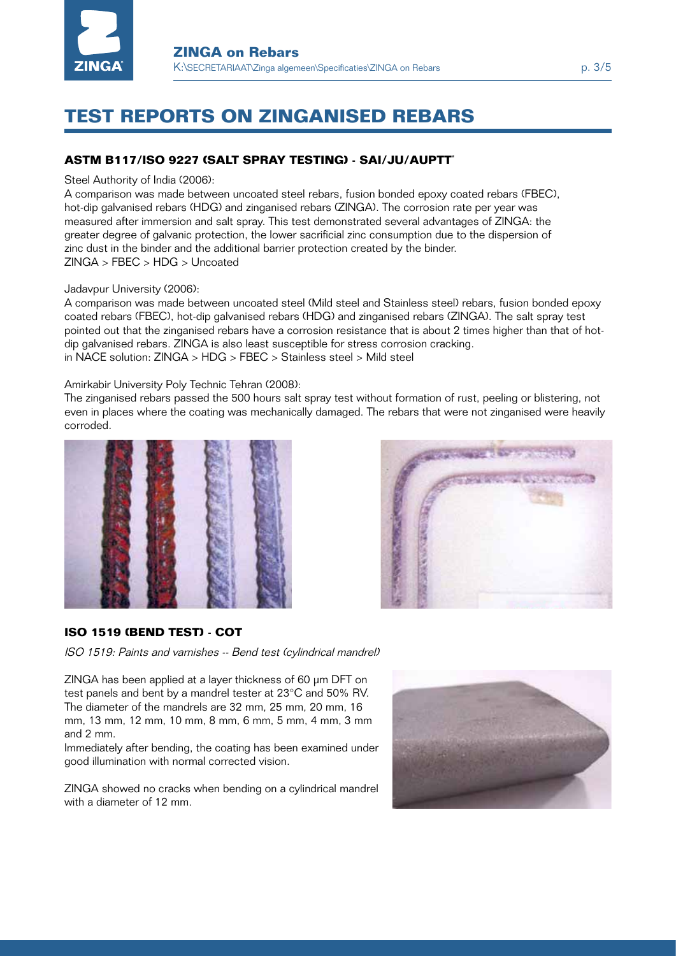

## **Test reports on zinganised rebars**

#### **ASTM B117/ISO 9227 (salt spray testing) - Sai/JU/AUPTT\***

#### Steel Authority of India (2006):

A comparison was made between uncoated steel rebars, fusion bonded epoxy coated rebars (FBEC), hot-dip galvanised rebars (HDG) and zinganised rebars (ZINGA). The corrosion rate per year was measured after immersion and salt spray. This test demonstrated several advantages of ZINGA: the greater degree of galvanic protection, the lower sacrificial zinc consumption due to the dispersion of zinc dust in the binder and the additional barrier protection created by the binder. ZINGA > FBEC > HDG > Uncoated

Jadavpur University (2006):

A comparison was made between uncoated steel (Mild steel and Stainless steel) rebars, fusion bonded epoxy coated rebars (FBEC), hot-dip galvanised rebars (HDG) and zinganised rebars (ZINGA). The salt spray test pointed out that the zinganised rebars have a corrosion resistance that is about 2 times higher than that of hotdip galvanised rebars. ZINGA is also least susceptible for stress corrosion cracking. in NACE solution: ZINGA > HDG > FBEC > Stainless steel > Mild steel Solidary Charles Charles Charles Charles Charles Charles Charles Charles Charles Charles Charles Charles Charles Charles Charles Charles Charles Charles Charles Charles Charles Charles Charles Charles Charles Charles Charl

#### Amirkabir University Poly Technic Tehran (2008):

The zinganised rebars passed the 500 hours salt spray test without formation of rust, peeling or blistering, not even in places where the coating was mechanically damaged. The rebars that were not zinganised were heavily corroded. *Stellenbosch Tel: (021) 808 3175*





#### **iso 1519 (BEND test) - cot**

ISO 1519: Paints and varnishes -- Bend test (cylindrical mandrel)

ZINGA has been applied at a layer thickness of 60 µm DFT on test panels and bent by a mandrel tester at 23°C and 50% RV. The diameter of the mandrels are 32 mm, 25 mm, 20 mm, 16 mm, 13 mm, 12 mm, 10 mm, 8 mm, 6 mm, 5 mm, 4 mm, 3 mm and 2 mm.

Immediately after bending, the coating has been examined under good illumination with normal corrected vision.

ZINGA showed no cracks when bending on a cylindrical mandrel with a diameter of 12 mm.

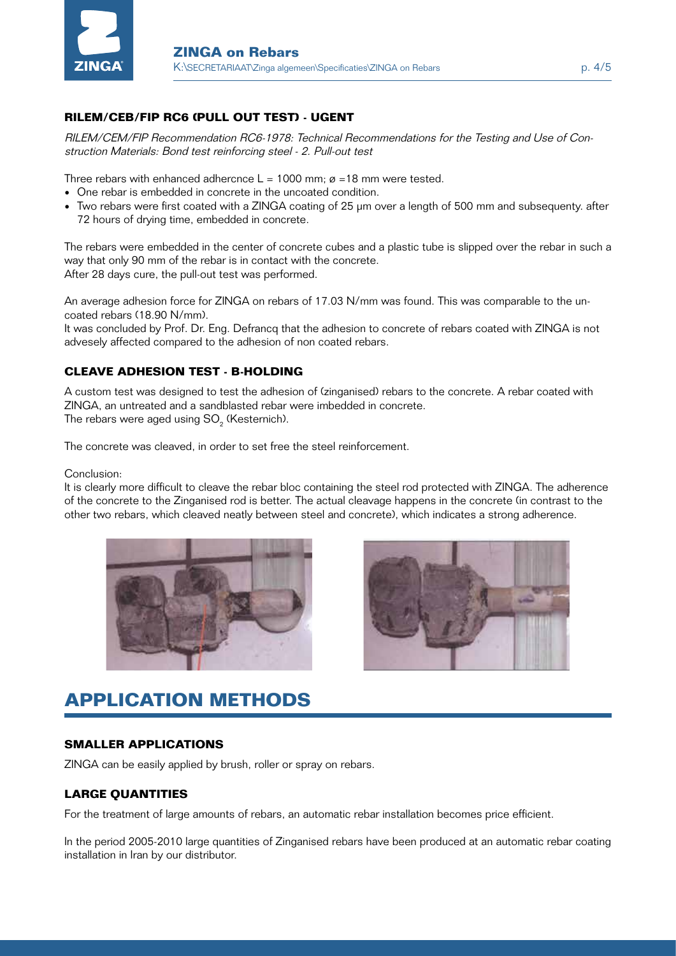

#### **RILEM/CEB/FIP RC6 (pull out test) - ugent**

RILEM/CEM/FIP Recommendation RC6-1978: Technical Recommendations for the Testing and Use of Construction Materials: Bond test reinforcing steel - 2. Pull-out test

Three rebars with enhanced adhercnce  $L = 1000$  mm;  $\varnothing = 18$  mm were tested.

- One rebar is embedded in concrete in the uncoated condition.
- Two rebars were first coated with a ZINGA coating of 25 µm over a length of 500 mm and subsequenty. after 72 hours of drying time, embedded in concrete.

The rebars were embedded in the center of concrete cubes and a plastic tube is slipped over the rebar in such a way that only 90 mm of the rebar is in contact with the concrete. After 28 days cure, the pull-out test was performed.

An average adhesion force for ZINGA on rebars of 17.03 N/mm was found. This was comparable to the uncoated rebars (18.90 N/mm).

It was concluded by Prof. Dr. Eng. Defrancq that the adhesion to concrete of rebars coated with ZINGA is not advesely affected compared to the adhesion of non coated rebars.

#### **cleave adhesion test - B-Holding**

A custom test was designed to test the adhesion of (zinganised) rebars to the concrete. A rebar coated with ZINGA, an untreated and a sandblasted rebar were imbedded in concrete. The rebars were aged using SO $_{_2}$  (Kesternich).

The concrete was cleaved, in order to set free the steel reinforcement.

Conclusion:

It is clearly more difficult to cleave the rebar bloc containing the steel rod protected with ZINGA. The adherence of the concrete to the Zinganised rod is better. The actual cleavage happens in the concrete (in contrast to the other two rebars, which cleaved neatly between steel and concrete), which indicates a strong adherence.





# **application methods**

#### **smaller applications**

ZINGA can be easily applied by brush, roller or spray on rebars.

#### **large quantities**

For the treatment of large amounts of rebars, an automatic rebar installation becomes price efficient.

In the period 2005-2010 large quantities of Zinganised rebars have been produced at an automatic rebar coating installation in Iran by our distributor.